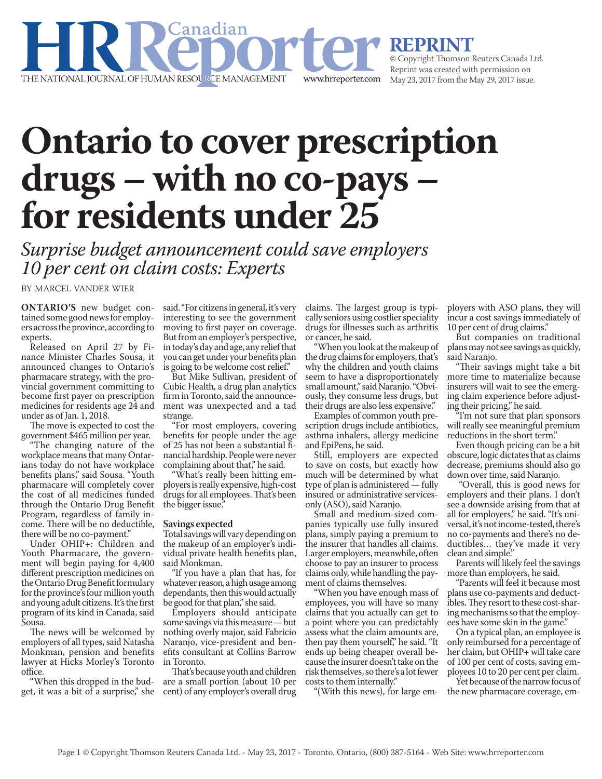

**REPRINT**<br>© Copyright Thomson Reuters Canada Ltd. Reprint was created with permission on May 23, 2017 from the May 29, 2017 issue.

## **Ontario to cover prescription drugs – with no co-pays – for residents under 25**

*Surprise budget announcement could save employers 10 per cent on claim costs: Experts*

BY MARCEL VANDER WIER

**ONTARIO'S** new budget contained some good news for employers across the province, according to experts.

Released on April 27 by Finance Minister Charles Sousa, it announced changes to Ontario's pharmacare strategy, with the provincial government committing to become first payer on prescription medicines for residents age 24 and under as of Jan. 1, 2018.

The move is expected to cost the government \$465 million per year.

"The changing nature of the workplace means that many Ontarians today do not have workplace benefits plans," said Sousa. "Youth pharmacare will completely cover the cost of all medicines funded through the Ontario Drug Benefit Program, regardless of family income. There will be no deductible, there will be no co-payment."

Under OHIP+: Children and Youth Pharmacare, the government will begin paying for 4,400 different prescription medicines on the Ontario Drug Benefit formulary for the province's four million youth and young adult citizens. It's the first program of its kind in Canada, said Sousa.

The news will be welcomed by employers of all types, said Natasha Monkman, pension and benefits lawyer at Hicks Morley's Toronto office.

"When this dropped in the budget, it was a bit of a surprise," she said. "For citizens in general, it's very interesting to see the government moving to first payer on coverage. But from an employer's perspective, in today's day and age, any relief that you can get under your benefits plan is going to be welcome cost relief."

But Mike Sullivan, president of Cubic Health, a drug plan analytics firm in Toronto, said the announcement was unexpected and a tad strange.

"For most employers, covering benefits for people under the age of 25 has not been a substantial financial hardship. People were never complaining about that," he said.

"What's really been hitting employers is really expensive, high-cost drugs for all employees. That's been the bigger issue."

## **Savings expected**

Total savings will vary depending on the makeup of an employer's individual private health benefits plan, said Monkman.

"If you have a plan that has, for whatever reason, a high usage among dependants, then this would actually be good for that plan," she said.

Employers should anticipate some savings via this measure — but nothing overly major, said Fabricio Naranjo, vice-president and benefits consultant at Collins Barrow in Toronto.

That's because youth and children are a small portion (about 10 per cent) of any employer's overall drug claims. The largest group is typically seniors using costlier speciality drugs for illnesses such as arthritis or cancer, he said.

When you look at the makeup of the drug claims for employers, that's why the children and youth claims seem to have a disproportionately small amount," said Naranjo. "Obviously, they consume less drugs, but their drugs are also less expensive."

Examples of common youth prescription drugs include antibiotics, asthma inhalers, allergy medicine and EpiPens, he said.

Still, employers are expected to save on costs, but exactly how much will be determined by what type of plan is administered — fully insured or administrative servicesonly (ASO), said Naranjo.

Small and medium-sized companies typically use fully insured plans, simply paying a premium to the insurer that handles all claims. Larger employers, meanwhile, often choose to pay an insurer to process claims only, while handling the payment of claims themselves.

"When you have enough mass of employees, you will have so many claims that you actually can get to a point where you can predictably assess what the claim amounts are, then pay them yourself," he said. "It ends up being cheaper overall because the insurer doesn't take on the risk themselves, so there's a lot fewer costs to them internally."

"(With this news), for large em-

ployers with ASO plans, they will incur a cost savings immediately of 10 per cent of drug claims."

But companies on traditional plans may not see savings as quickly, said Naranjo.

"Their savings might take a bit more time to materialize because insurers will wait to see the emerging claim experience before adjusting their pricing," he said.

"I'm not sure that plan sponsors will really see meaningful premium reductions in the short term."

Even though pricing can be a bit obscure, logic dictates that as claims decrease, premiums should also go down over time, said Naranjo.

 "Overall, this is good news for employers and their plans. I don't see a downside arising from that at all for employers," he said. "It's universal, it's not income-tested, there's no co-payments and there's no deductibles… they've made it very clean and simple."

Parents will likely feel the savings more than employers, he said.

"Parents will feel it because most plans use co-payments and deductibles. They resort to these cost-sharing mechanisms so that the employees have some skin in the game."

On a typical plan, an employee is only reimbursed for a percentage of her claim, but OHIP+ will take care of 100 per cent of costs, saving employees 10 to 20 per cent per claim.

Yet because of the narrow focus of the new pharmacare coverage, em